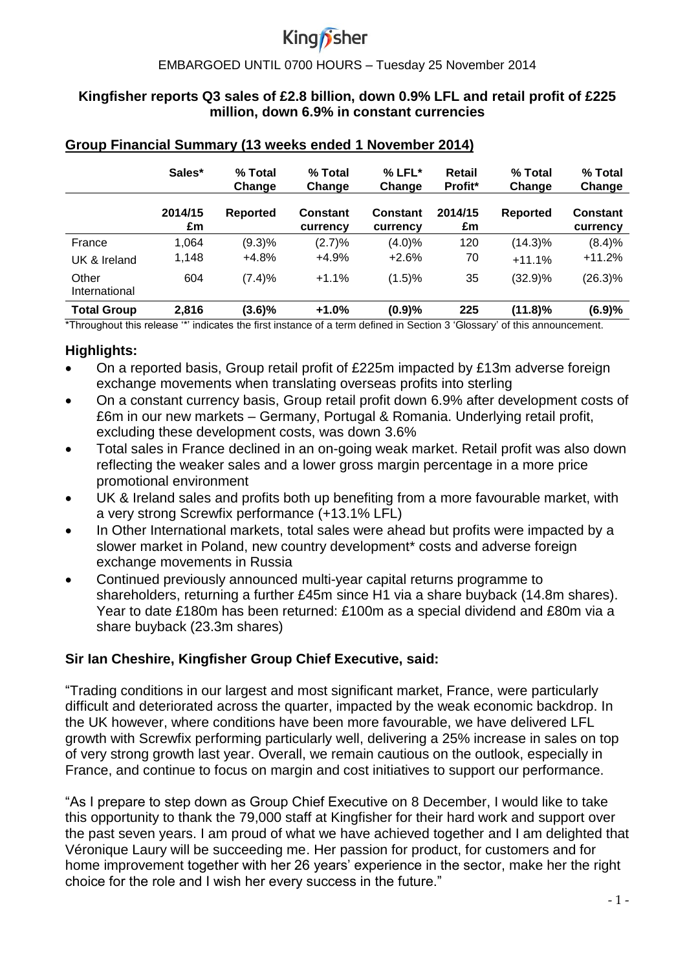# King*n* sher

#### j EMBARGOED UNTIL 0700 HOURS – Tuesday 25 November 2014

### **Kingfisher reports Q3 sales of £2.8 billion, down 0.9% LFL and retail profit of £225 million, down 6.9% in constant currencies**

|                        | Sales*        | % Total<br>Change | % Total<br>Change           | $%$ LFL $*$<br>Change       | <b>Retail</b><br>Profit* | % Total<br>Change | % Total<br>Change    |
|------------------------|---------------|-------------------|-----------------------------|-----------------------------|--------------------------|-------------------|----------------------|
|                        | 2014/15<br>£m | Reported          | <b>Constant</b><br>currency | <b>Constant</b><br>currency | 2014/15<br>£m            | Reported          | Constant<br>currency |
| France                 | 1,064         | (9.3)%            | (2.7)%                      | $(4.0)\%$                   | 120                      | $(14.3)\%$        | (8.4)%               |
| UK & Ireland           | 1,148         | $+4.8%$           | $+4.9%$                     | $+2.6%$                     | 70                       | $+11.1%$          | $+11.2%$             |
| Other<br>International | 604           | (7.4)%            | $+1.1%$                     | (1.5)%                      | 35                       | $(32.9)\%$        | $(26.3)\%$           |
| <b>Total Group</b>     | 2,816         | $(3.6)\%$         | $+1.0%$                     | (0.9)%                      | 225                      | $(11.8)\%$        | (6.9)%               |

#### **Group Financial Summary (13 weeks ended 1 November 2014)**

\*Throughout this release '\*' indicates the first instance of a term defined in Section 3 'Glossary' of this announcement.

# **Highlights:**

- On a reported basis, Group retail profit of £225m impacted by £13m adverse foreign exchange movements when translating overseas profits into sterling
- On a constant currency basis, Group retail profit down 6.9% after development costs of £6m in our new markets – Germany, Portugal & Romania. Underlying retail profit, excluding these development costs, was down 3.6%
- Total sales in France declined in an on-going weak market. Retail profit was also down reflecting the weaker sales and a lower gross margin percentage in a more price promotional environment
- UK & Ireland sales and profits both up benefiting from a more favourable market, with a very strong Screwfix performance (+13.1% LFL)
- In Other International markets, total sales were ahead but profits were impacted by a slower market in Poland, new country development<sup>\*</sup> costs and adverse foreign exchange movements in Russia
- Continued previously announced multi-year capital returns programme to shareholders, returning a further £45m since H1 via a share buyback (14.8m shares). Year to date £180m has been returned: £100m as a special dividend and £80m via a share buyback (23.3m shares)

# **Sir Ian Cheshire, Kingfisher Group Chief Executive, said:**

"Trading conditions in our largest and most significant market, France, were particularly difficult and deteriorated across the quarter, impacted by the weak economic backdrop. In the UK however, where conditions have been more favourable, we have delivered LFL growth with Screwfix performing particularly well, delivering a 25% increase in sales on top of very strong growth last year. Overall, we remain cautious on the outlook, especially in France, and continue to focus on margin and cost initiatives to support our performance.

"As I prepare to step down as Group Chief Executive on 8 December, I would like to take this opportunity to thank the 79,000 staff at Kingfisher for their hard work and support over the past seven years. I am proud of what we have achieved together and I am delighted that Véronique Laury will be succeeding me. Her passion for product, for customers and for home improvement together with her 26 years' experience in the sector, make her the right choice for the role and I wish her every success in the future."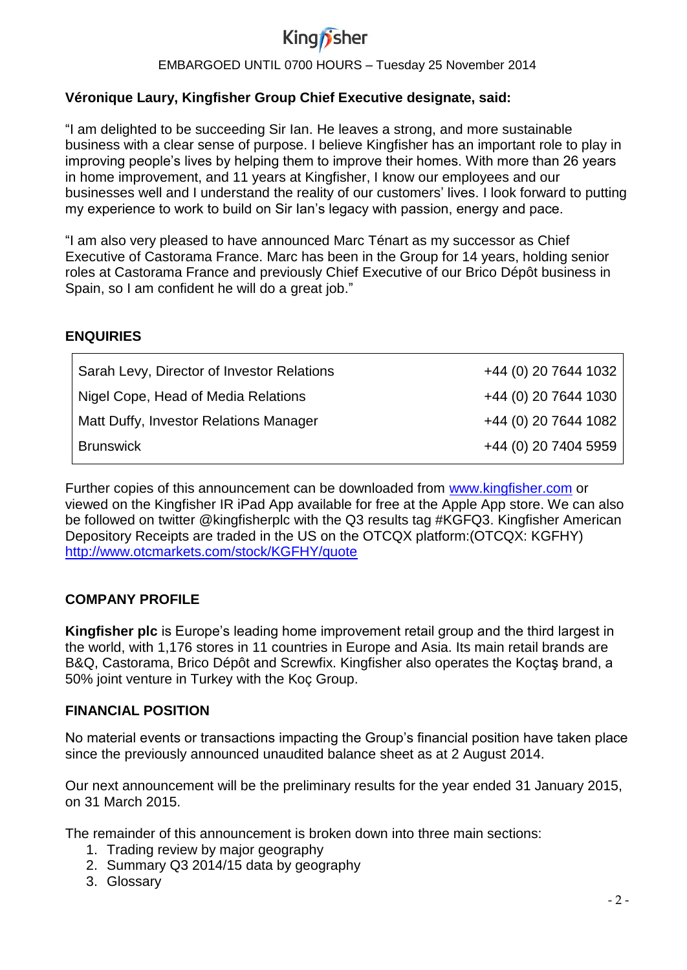

# **Véronique Laury, Kingfisher Group Chief Executive designate, said:**

"I am delighted to be succeeding Sir Ian. He leaves a strong, and more sustainable business with a clear sense of purpose. I believe Kingfisher has an important role to play in improving people's lives by helping them to improve their homes. With more than 26 years in home improvement, and 11 years at Kingfisher, I know our employees and our businesses well and I understand the reality of our customers' lives. I look forward to putting my experience to work to build on Sir Ian's legacy with passion, energy and pace.

"I am also very pleased to have announced Marc Ténart as my successor as Chief Executive of Castorama France. Marc has been in the Group for 14 years, holding senior roles at Castorama France and previously Chief Executive of our Brico Dépôt business in Spain, so I am confident he will do a great job."

### **ENQUIRIES**

| Sarah Levy, Director of Investor Relations | +44 (0) 20 7644 1032 |
|--------------------------------------------|----------------------|
| Nigel Cope, Head of Media Relations        | +44 (0) 20 7644 1030 |
| Matt Duffy, Investor Relations Manager     | +44 (0) 20 7644 1082 |
| <b>Brunswick</b>                           | +44 (0) 20 7404 5959 |

Further copies of this announcement can be downloaded from [www.kingfisher.com](http://www.kingfisher.com/) or viewed on the Kingfisher IR iPad App available for free at the Apple App store. We can also be followed on twitter @kingfisherplc with the Q3 results tag #KGFQ3. Kingfisher American Depository Receipts are traded in the US on the OTCQX platform:(OTCQX: KGFHY) <http://www.otcmarkets.com/stock/KGFHY/quote>

### **COMPANY PROFILE**

**Kingfisher plc** is Europe's leading home improvement retail group and the third largest in the world, with 1,176 stores in 11 countries in Europe and Asia. Its main retail brands are B&Q, Castorama, Brico Dépôt and Screwfix. Kingfisher also operates the Koçtaş brand, a 50% joint venture in Turkey with the Koç Group.

#### **FINANCIAL POSITION**

No material events or transactions impacting the Group's financial position have taken place since the previously announced unaudited balance sheet as at 2 August 2014.

Our next announcement will be the preliminary results for the year ended 31 January 2015, on 31 March 2015.

The remainder of this announcement is broken down into three main sections:

- 1. Trading review by major geography
- 2. Summary Q3 2014/15 data by geography
- 3. Glossary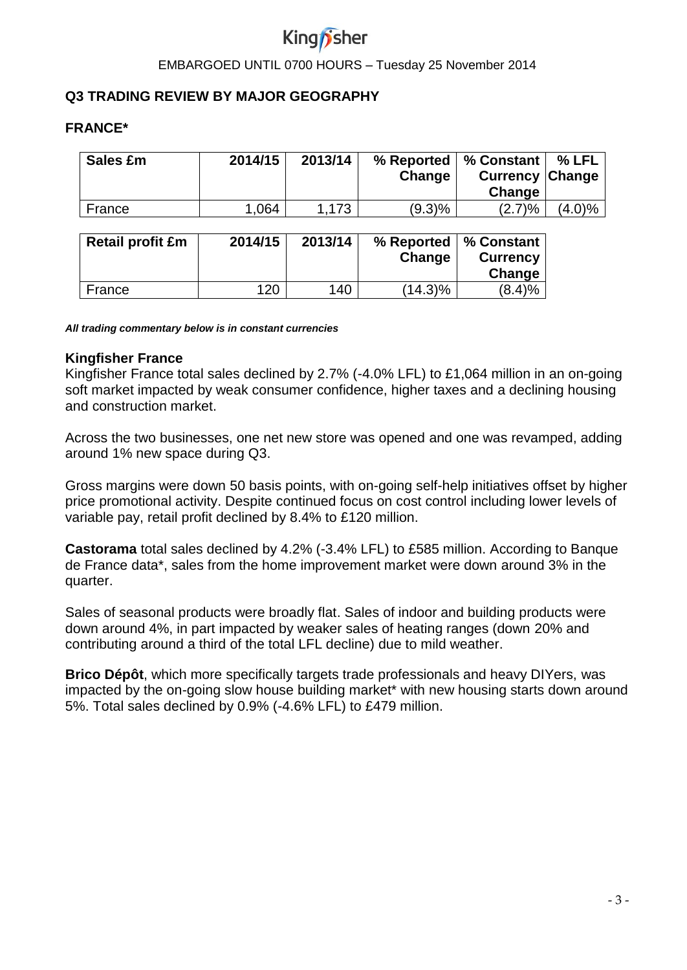# **Q3 TRADING REVIEW BY MAJOR GEOGRAPHY**

#### **FRANCE\***

| <b>Sales £m</b>         | 2014/15 | 2013/14 | % Reported<br>Change | % Constant<br><b>Currency</b><br>Change | % LFL<br><b>Change</b> |
|-------------------------|---------|---------|----------------------|-----------------------------------------|------------------------|
| France                  | 1,064   | 1,173   | (9.3)%               | (2.7)%                                  | $(4.0)\%$              |
| <b>Retail profit £m</b> | 2014/15 | 2013/14 | % Reported<br>Change | % Constant<br><b>Currency</b><br>Change |                        |
| France                  | 120     | 140     | (14.3)%              | (8.4)%                                  |                        |

*All trading commentary below is in constant currencies*

#### **Kingfisher France**

Kingfisher France total sales declined by 2.7% (-4.0% LFL) to £1,064 million in an on-going soft market impacted by weak consumer confidence, higher taxes and a declining housing and construction market.

Across the two businesses, one net new store was opened and one was revamped, adding around 1% new space during Q3.

Gross margins were down 50 basis points, with on-going self-help initiatives offset by higher price promotional activity. Despite continued focus on cost control including lower levels of variable pay, retail profit declined by 8.4% to £120 million.

**Castorama** total sales declined by 4.2% (-3.4% LFL) to £585 million. According to Banque de France data\*, sales from the home improvement market were down around 3% in the quarter.

Sales of seasonal products were broadly flat. Sales of indoor and building products were down around 4%, in part impacted by weaker sales of heating ranges (down 20% and contributing around a third of the total LFL decline) due to mild weather.

**Brico Dépôt**, which more specifically targets trade professionals and heavy DIYers, was impacted by the on-going slow house building market\* with new housing starts down around 5%. Total sales declined by 0.9% (-4.6% LFL) to £479 million.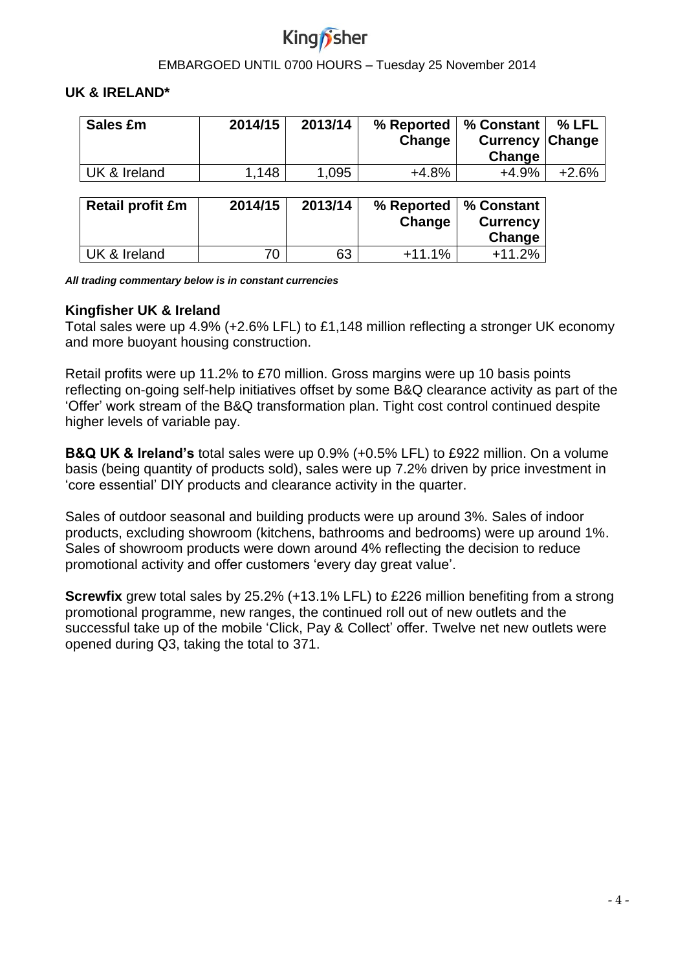

#### **UK & IRELAND\***

| Sales £m         | 2014/15 | 2013/14 | % Reported<br>Change | % Constant<br><b>Currency</b><br>Change | % LFL<br>Change |
|------------------|---------|---------|----------------------|-----------------------------------------|-----------------|
| UK & Ireland     | 1,148   | 1,095   | $+4.8%$              | $+4.9%$                                 | $+2.6%$         |
| Retail profit £m | 2014/15 | 2013/14 | % Reported<br>Change | % Constant<br><b>Currency</b><br>Change |                 |
| UK & Ireland     | 70      | 63      | $+11.1%$             | $+11.2%$                                |                 |

*All trading commentary below is in constant currencies*

### **Kingfisher UK & Ireland**

Total sales were up 4.9% (+2.6% LFL) to £1,148 million reflecting a stronger UK economy and more buoyant housing construction.

Retail profits were up 11.2% to £70 million. Gross margins were up 10 basis points reflecting on-going self-help initiatives offset by some B&Q clearance activity as part of the 'Offer' work stream of the B&Q transformation plan. Tight cost control continued despite higher levels of variable pay.

**B&Q UK & Ireland's** total sales were up 0.9% (+0.5% LFL) to £922 million. On a volume basis (being quantity of products sold), sales were up 7.2% driven by price investment in 'core essential' DIY products and clearance activity in the quarter.

Sales of outdoor seasonal and building products were up around 3%. Sales of indoor products, excluding showroom (kitchens, bathrooms and bedrooms) were up around 1%. Sales of showroom products were down around 4% reflecting the decision to reduce promotional activity and offer customers 'every day great value'.

**Screwfix** grew total sales by 25.2% (+13.1% LFL) to £226 million benefiting from a strong promotional programme, new ranges, the continued roll out of new outlets and the successful take up of the mobile 'Click, Pay & Collect' offer. Twelve net new outlets were opened during Q3, taking the total to 371.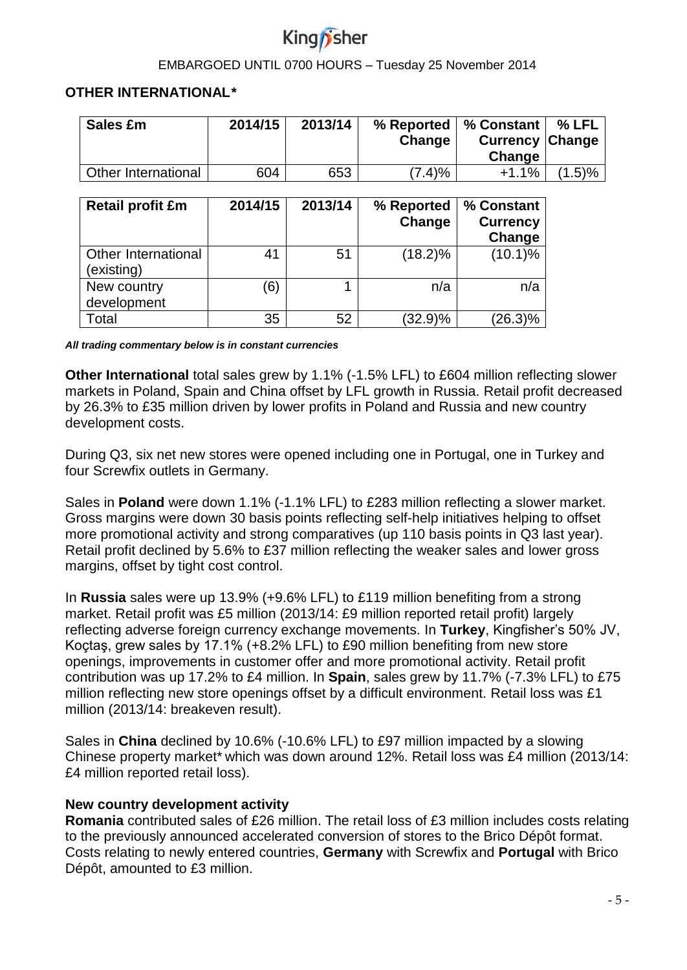

### **OTHER INTERNATIONAL\***

| Sales £m                         | 2014/15 | 2013/14 | % Reported<br>Change | % Constant<br><b>Currency</b><br>Change | $%$ LFL<br>Change |
|----------------------------------|---------|---------|----------------------|-----------------------------------------|-------------------|
| <b>Other International</b>       | 604     | 653     | (7.4)%               | $+1.1%$                                 | $(1.5) \%$        |
| <b>Retail profit £m</b>          | 2014/15 | 2013/14 | % Reported<br>Change | % Constant<br><b>Currency</b><br>Change |                   |
| Other International<br>existing) | 41      | 51      | $(18.2)\%$           | $(10.1)\%$                              |                   |
| New country<br>development       | (6)     |         | n/a                  | n/a                                     |                   |
| Total                            | 35      | 52      | $(32.9)\%$           | $(26.3)\%$                              |                   |

*All trading commentary below is in constant currencies*

**Other International** total sales grew by 1.1% (-1.5% LFL) to £604 million reflecting slower markets in Poland, Spain and China offset by LFL growth in Russia. Retail profit decreased by 26.3% to £35 million driven by lower profits in Poland and Russia and new country development costs.

During Q3, six net new stores were opened including one in Portugal, one in Turkey and four Screwfix outlets in Germany.

Sales in **Poland** were down 1.1% (-1.1% LFL) to £283 million reflecting a slower market. Gross margins were down 30 basis points reflecting self-help initiatives helping to offset more promotional activity and strong comparatives (up 110 basis points in Q3 last year). Retail profit declined by 5.6% to £37 million reflecting the weaker sales and lower gross margins, offset by tight cost control.

In **Russia** sales were up 13.9% (+9.6% LFL) to £119 million benefiting from a strong market. Retail profit was £5 million (2013/14: £9 million reported retail profit) largely reflecting adverse foreign currency exchange movements. In **Turkey**, Kingfisher's 50% JV, Koçtaş, grew sales by 17.1% (+8.2% LFL) to £90 million benefiting from new store openings, improvements in customer offer and more promotional activity. Retail profit contribution was up 17.2% to £4 million. In **Spain**, sales grew by 11.7% (-7.3% LFL) to £75 million reflecting new store openings offset by a difficult environment. Retail loss was £1 million (2013/14: breakeven result).

Sales in **China** declined by 10.6% (-10.6% LFL) to £97 million impacted by a slowing Chinese property market\* which was down around 12%. Retail loss was £4 million (2013/14: £4 million reported retail loss).

### **New country development activity**

**Romania** contributed sales of £26 million. The retail loss of £3 million includes costs relating to the previously announced accelerated conversion of stores to the Brico Dépôt format. Costs relating to newly entered countries, **Germany** with Screwfix and **Portugal** with Brico Dépôt, amounted to £3 million.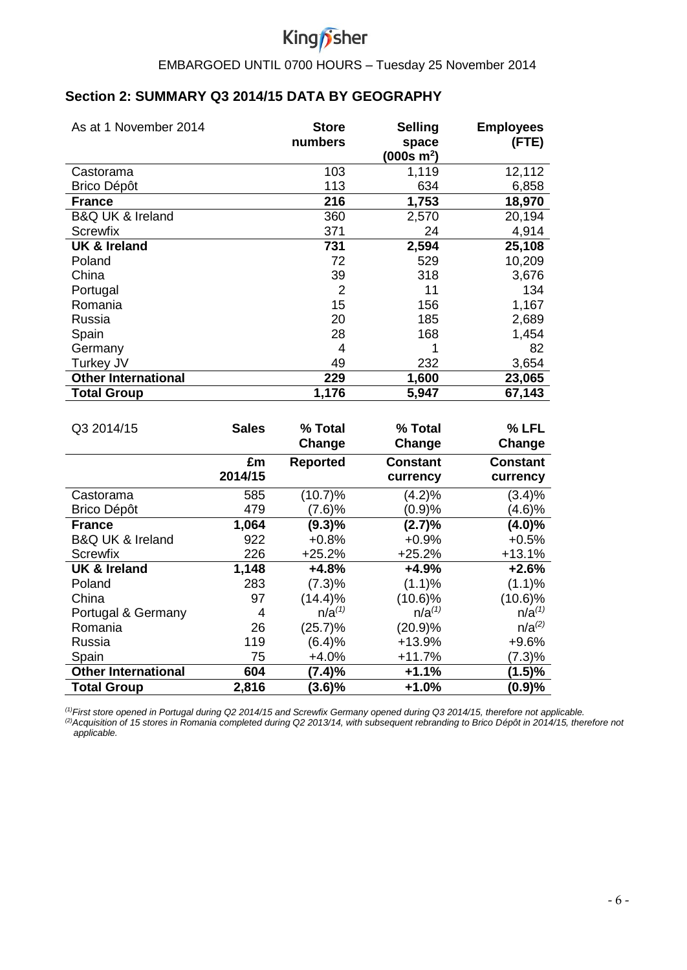

# **Section 2: SUMMARY Q3 2014/15 DATA BY GEOGRAPHY**

| As at 1 November 2014           | <b>Store</b><br>numbers | <b>Selling</b><br>space | <b>Employees</b><br>(FTE) |
|---------------------------------|-------------------------|-------------------------|---------------------------|
|                                 |                         | (000s m <sup>2</sup> )  |                           |
| Castorama                       | 103                     | 1,119                   | 12,112                    |
| <b>Brico Dépôt</b>              | 113                     | 634                     | 6,858                     |
| <b>France</b>                   | 216                     | 1,753                   | 18,970                    |
| <b>B&amp;Q UK &amp; Ireland</b> | 360                     | 2,570                   | 20,194                    |
| Screwfix                        | 371                     | 24                      | 4,914                     |
| <b>UK &amp; Ireland</b>         | 731                     | 2,594                   | 25,108                    |
| Poland                          | 72                      | 529                     | 10,209                    |
| China                           | 39                      | 318                     | 3,676                     |
| Portugal                        | $\overline{2}$          | 11                      | 134                       |
| Romania                         | 15                      | 156                     | 1,167                     |
| Russia                          | 20                      | 185                     | 2,689                     |
| Spain                           | 28                      | 168                     | 1,454                     |
| Germany                         | 4                       |                         | 82                        |
| Turkey JV                       | 49                      | 232                     | 3,654                     |
| <b>Other International</b>      | 229                     | 1,600                   | 23,065                    |
| <b>Total Group</b>              | 1,176                   | 5,947                   | 67,143                    |

| Q3 2014/15                      | <b>Sales</b>  | % Total<br>Change | % Total<br>Change           | % LFL<br>Change             |
|---------------------------------|---------------|-------------------|-----------------------------|-----------------------------|
|                                 | £m<br>2014/15 | <b>Reported</b>   | <b>Constant</b><br>currency | <b>Constant</b><br>currency |
| Castorama                       | 585           | (10.7)%           | (4.2)%                      | (3.4)%                      |
| <b>Brico Dépôt</b>              | 479           | (7.6)%            | (0.9)%                      | (4.6)%                      |
| <b>France</b>                   | 1,064         | $(9.3)\%$         | (2.7)%                      | $(4.0)\%$                   |
| <b>B&amp;Q UK &amp; Ireland</b> | 922           | $+0.8%$           | $+0.9%$                     | $+0.5%$                     |
| <b>Screwfix</b>                 | 226           | $+25.2%$          | $+25.2%$                    | $+13.1%$                    |
| <b>UK &amp; Ireland</b>         | 1,148         | $+4.8%$           | $+4.9%$                     | +2.6%                       |
| Poland                          | 283           | (7.3)%            | (1.1)%                      | (1.1)%                      |
| China                           | 97            | $(14.4)\%$        | $(10.6)\%$                  | $(10.6)\%$                  |
| Portugal & Germany              | 4             | $n/a^{(1)}$       | $n/a^{(1)}$                 | $n/a^{(1)}$                 |
| Romania                         | 26            | (25.7)%           | (20.9)%                     | $n/a^{(2)}$                 |
| Russia                          | 119           | (6.4)%            | $+13.9%$                    | $+9.6%$                     |
| Spain                           | 75            | $+4.0%$           | $+11.7%$                    | $(7.3)\%$                   |
| <b>Other International</b>      | 604           | (7.4)%            | $+1.1%$                     | (1.5)%                      |
| <b>Total Group</b>              | 2,816         | $(3.6)\%$         | $+1.0%$                     | (0.9)%                      |

*(1)First store opened in Portugal during Q2 2014/15 and Screwfix Germany opened during Q3 2014/15, therefore not applicable. (2)Acquisition of 15 stores in Romania completed during Q2 2013/14, with subsequent rebranding to Brico Dépôt in 2014/15, therefore not applicable.*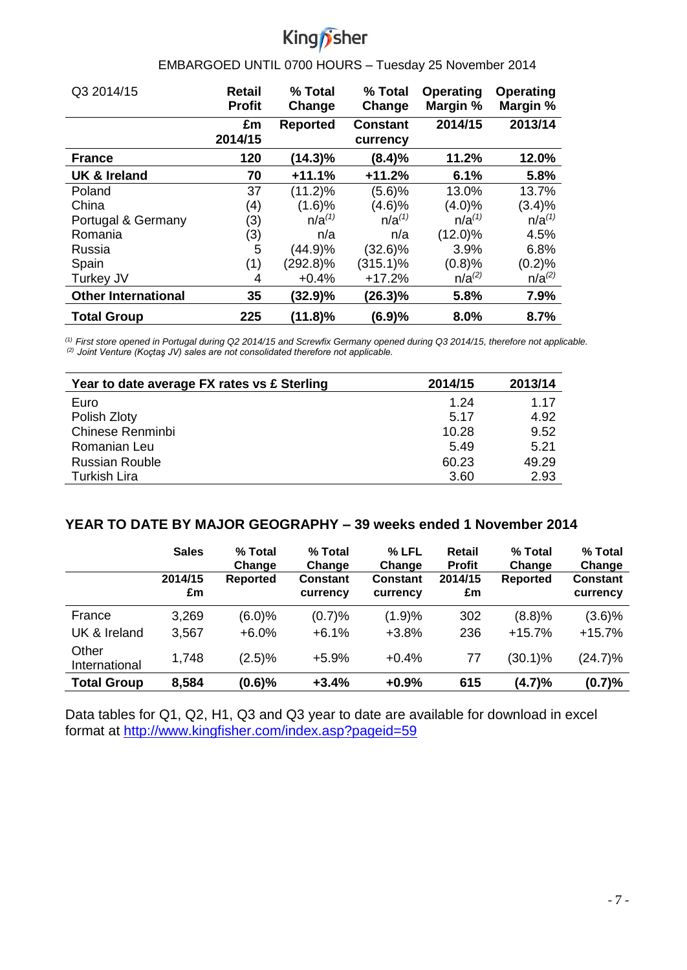# King *f*sher

#### j EMBARGOED UNTIL 0700 HOURS – Tuesday 25 November 2014

| Q3 2014/15                 | <b>Retail</b><br><b>Profit</b> | % Total<br>Change | % Total<br>Change           | <b>Operating</b><br>Margin % | <b>Operating</b><br>Margin % |
|----------------------------|--------------------------------|-------------------|-----------------------------|------------------------------|------------------------------|
|                            | £m<br>2014/15                  | <b>Reported</b>   | <b>Constant</b><br>currency | 2014/15                      | 2013/14                      |
| <b>France</b>              | 120                            | $(14.3)\%$        | (8.4)%                      | 11.2%                        | 12.0%                        |
| <b>UK &amp; Ireland</b>    | 70                             | $+11.1%$          | $+11.2%$                    | 6.1%                         | 5.8%                         |
| Poland                     | 37                             | $(11.2)\%$        | (5.6)%                      | 13.0%                        | 13.7%                        |
| China                      | (4)                            | (1.6)%            | (4.6)%                      | (4.0)%                       | (3.4)%                       |
| Portugal & Germany         | (3)                            | $n/a^{(1)}$       | $n/a^{(1)}$                 | $n/a^{(1)}$                  | $n/a^{(1)}$                  |
| Romania                    | (3)                            | n/a               | n/a                         | $(12.0)\%$                   | 4.5%                         |
| Russia                     | 5                              | (44.9)%           | (32.6)%                     | 3.9%                         | 6.8%                         |
| Spain                      | (1)                            | $(292.8)\%$       | $(315.1)\%$                 | (0.8)%                       | (0.2)%                       |
| Turkey JV                  | 4                              | $+0.4%$           | $+17.2%$                    | $n/a^{(2)}$                  | $n/a^{(2)}$                  |
| <b>Other International</b> | 35                             | $(32.9)\%$        | (26.3)%                     | 5.8%                         | 7.9%                         |
| <b>Total Group</b>         | 225                            | $(11.8)\%$        | (6.9)%                      | 8.0%                         | 8.7%                         |

*(1) First store opened in Portugal during Q2 2014/15 and Screwfix Germany opened during Q3 2014/15, therefore not applicable. (2) Joint Venture (Koçtaş JV) sales are not consolidated therefore not applicable.*

| Year to date average FX rates vs £ Sterling | 2014/15 | 2013/14 |
|---------------------------------------------|---------|---------|
| Euro                                        | 1.24    | 1.17    |
| Polish Zloty                                | 5.17    | 4.92    |
| Chinese Renminbi                            | 10.28   | 9.52    |
| Romanian Leu                                | 5.49    | 5.21    |
| <b>Russian Rouble</b>                       | 60.23   | 49.29   |
| <b>Turkish Lira</b>                         | 3.60    | 2.93    |

### **YEAR TO DATE BY MAJOR GEOGRAPHY – 39 weeks ended 1 November 2014**

|                        | <b>Sales</b>  | % Total<br>Change | % Total<br>Change           | % LFL<br>Change             | <b>Retail</b><br><b>Profit</b> | % Total<br>Change | % Total<br>Change           |
|------------------------|---------------|-------------------|-----------------------------|-----------------------------|--------------------------------|-------------------|-----------------------------|
|                        | 2014/15<br>£m | <b>Reported</b>   | <b>Constant</b><br>currency | <b>Constant</b><br>currency | 2014/15<br>£m                  | <b>Reported</b>   | <b>Constant</b><br>currency |
| France                 | 3,269         | (6.0)%            | (0.7)%                      | (1.9)%                      | 302                            | (8.8)%            | (3.6)%                      |
| UK & Ireland           | 3,567         | $+6.0\%$          | $+6.1%$                     | $+3.8%$                     | 236                            | $+15.7%$          | $+15.7%$                    |
| Other<br>International | 1,748         | (2.5)%            | $+5.9%$                     | $+0.4%$                     | 77                             | $(30.1)\%$        | $(24.7)\%$                  |
| <b>Total Group</b>     | 8,584         | (0.6)%            | $+3.4%$                     | $+0.9%$                     | 615                            | (4.7)%            | (0.7)%                      |

Data tables for Q1, Q2, H1, Q3 and Q3 year to date are available for download in excel format at<http://www.kingfisher.com/index.asp?pageid=59>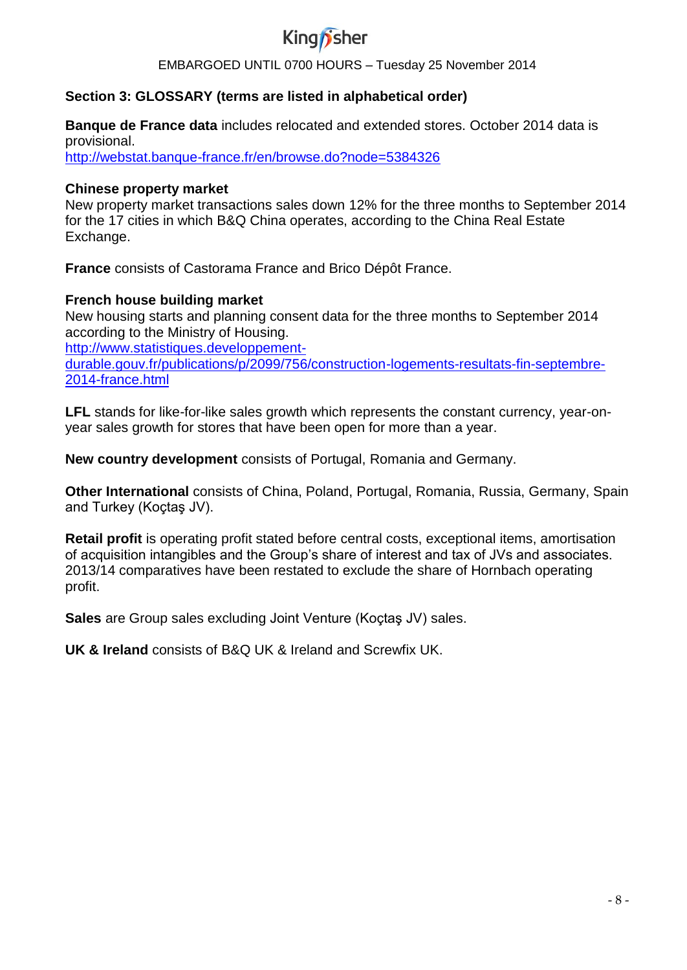

# **Section 3: GLOSSARY (terms are listed in alphabetical order)**

**Banque de France data** includes relocated and extended stores. October 2014 data is provisional.

<http://webstat.banque-france.fr/en/browse.do?node=5384326>

#### **Chinese property market**

New property market transactions sales down 12% for the three months to September 2014 for the 17 cities in which B&Q China operates, according to the China Real Estate Exchange.

**France** consists of Castorama France and Brico Dépôt France.

#### **French house building market**

New housing starts and planning consent data for the three months to September 2014 according to the Ministry of Housing.

[http://www.statistiques.developpement](http://www.statistiques.developpement-durable.gouv.fr/publications/p/2099/756/construction-logements-resultats-fin-septembre-2014-france.html)[durable.gouv.fr/publications/p/2099/756/construction-logements-resultats-fin-septembre-](http://www.statistiques.developpement-durable.gouv.fr/publications/p/2099/756/construction-logements-resultats-fin-septembre-2014-france.html)[2014-france.html](http://www.statistiques.developpement-durable.gouv.fr/publications/p/2099/756/construction-logements-resultats-fin-septembre-2014-france.html)

**LFL** stands for like-for-like sales growth which represents the constant currency, year-onyear sales growth for stores that have been open for more than a year.

**New country development** consists of Portugal, Romania and Germany.

**Other International** consists of China, Poland, Portugal, Romania, Russia, Germany, Spain and Turkey (Koçtaş JV).

**Retail profit** is operating profit stated before central costs, exceptional items, amortisation of acquisition intangibles and the Group's share of interest and tax of JVs and associates. 2013/14 comparatives have been restated to exclude the share of Hornbach operating profit.

**Sales** are Group sales excluding Joint Venture (Koçtaş JV) sales.

**UK & Ireland** consists of B&Q UK & Ireland and Screwfix UK.